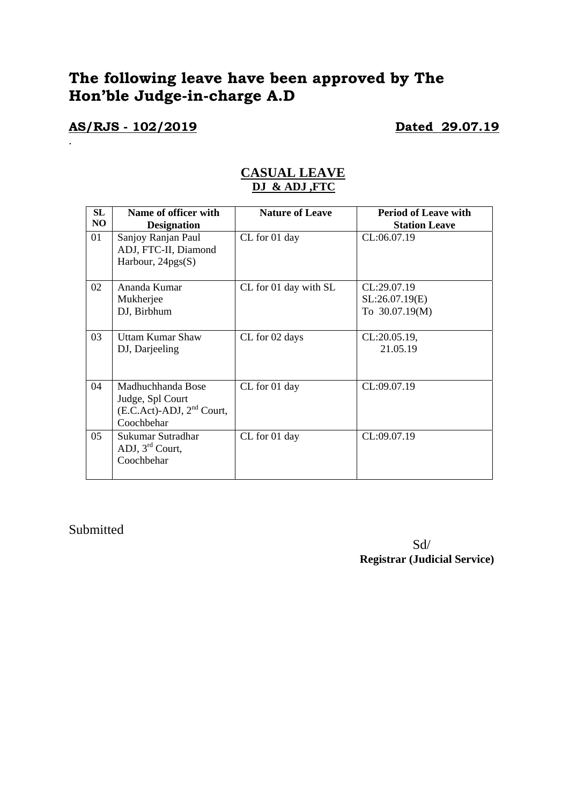# **The following leave have been approved by The Hon'ble Judge-in-charge A.D**

### **AS/RJS - 102/2019 Dated 29.07.19**

.

### **CASUAL LEAVE DJ & ADJ ,FTC**

| SL<br>NO | Name of officer with<br><b>Designation</b>                                         | <b>Nature of Leave</b> | <b>Period of Leave with</b><br><b>Station Leave</b> |
|----------|------------------------------------------------------------------------------------|------------------------|-----------------------------------------------------|
| 01       | Sanjoy Ranjan Paul<br>ADJ, FTC-II, Diamond<br>Harbour, $24pgs(S)$                  | CL for 01 day          | CL:06.07.19                                         |
| 02       | Ananda Kumar<br>Mukherjee<br>DJ, Birbhum                                           | CL for 01 day with SL  | CL:29.07.19<br>SL:26.07.19(E)<br>To 30.07.19(M)     |
| 03       | <b>Uttam Kumar Shaw</b><br>DJ, Darjeeling                                          | CL for 02 days         | $CL:20.05.19$ ,<br>21.05.19                         |
| 04       | Madhuchhanda Bose<br>Judge, Spl Court<br>$(E.C.Act)-ADJ, 2nd Court,$<br>Coochbehar | CL for 01 day          | CL:09.07.19                                         |
| 05       | Sukumar Sutradhar<br>ADJ, $3rd$ Court,<br>Coochbehar                               | CL for 01 day          | CL:09.07.19                                         |

Submitted

 Sd/ **Registrar (Judicial Service)**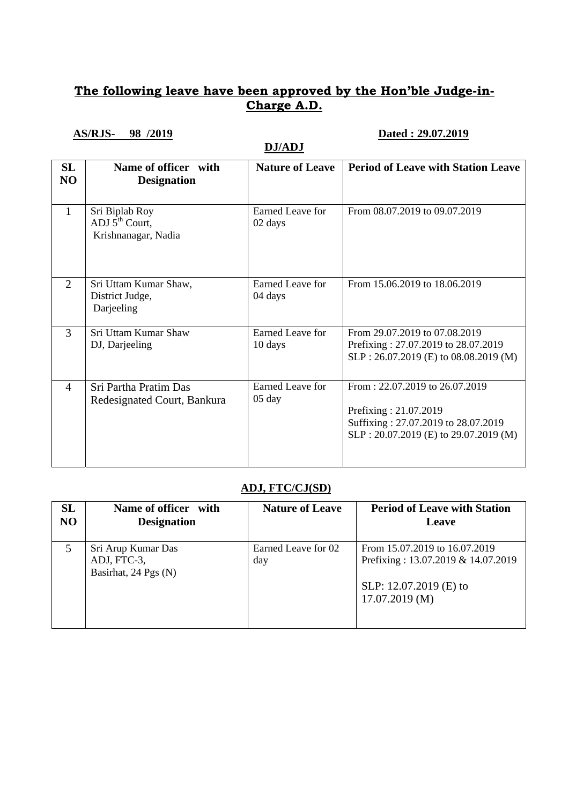## **The following leave have been approved by the Hon'ble Judge-in-Charge A.D.**

### **AS/RJS- 98 /2019 Dated : 29.07.2019**

# **DJ/ADJ**

| SL<br>NO       | Name of officer with<br><b>Designation</b>                | <b>Nature of Leave</b>               | <b>Period of Leave with Station Leave</b>                                                                                               |
|----------------|-----------------------------------------------------------|--------------------------------------|-----------------------------------------------------------------------------------------------------------------------------------------|
| 1              | Sri Biplab Roy<br>ADJ $5th$ Court,<br>Krishnanagar, Nadia | Earned Leave for<br>02 days          | From 08.07.2019 to 09.07.2019                                                                                                           |
| 2              | Sri Uttam Kumar Shaw,<br>District Judge,<br>Darjeeling    | Earned Leave for<br>04 days          | From 15.06.2019 to 18.06.2019                                                                                                           |
| 3              | Sri Uttam Kumar Shaw<br>DJ, Darjeeling                    | Earned Leave for<br>10 days          | From 29.07.2019 to 07.08.2019<br>Prefixing: 27.07.2019 to 28.07.2019<br>SLP: 26.07.2019 (E) to 08.08.2019 (M)                           |
| $\overline{4}$ | Sri Partha Pratim Das<br>Redesignated Court, Bankura      | Earned Leave for<br>$05 \text{ day}$ | From: 22.07.2019 to 26.07.2019<br>Prefixing: 21.07.2019<br>Suffixing: 27.07.2019 to 28.07.2019<br>SLP: 20.07.2019 (E) to 29.07.2019 (M) |

#### **ADJ, FTC/CJ(SD)**

| <b>SL</b>      | Name of officer with                                      | <b>Nature of Leave</b>     | <b>Period of Leave with Station</b>                                                                            |
|----------------|-----------------------------------------------------------|----------------------------|----------------------------------------------------------------------------------------------------------------|
| N <sub>O</sub> | <b>Designation</b>                                        |                            | Leave                                                                                                          |
|                | Sri Arup Kumar Das<br>ADJ, FTC-3,<br>Basirhat, 24 Pgs (N) | Earned Leave for 02<br>day | From 15.07.2019 to 16.07.2019<br>Prefixing: 13.07.2019 & 14.07.2019<br>SLP: 12.07.2019 (E) to<br>17.07.2019(M) |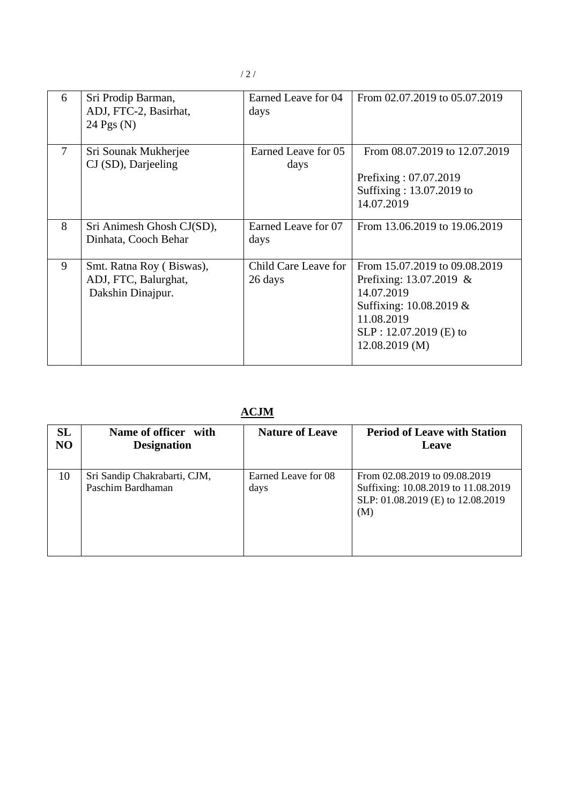| 6              | Sri Prodip Barman,<br>ADJ, FTC-2, Basirhat,<br>24 Pgs (N)             | Earned Leave for 04<br>days     | From 02.07.2019 to 05.07.2019                                                                                                                                 |
|----------------|-----------------------------------------------------------------------|---------------------------------|---------------------------------------------------------------------------------------------------------------------------------------------------------------|
| $\overline{7}$ | Sri Sounak Mukherjee<br>$CJ(SD)$ , Darjeeling                         | Earned Leave for 05<br>days     | From 08.07.2019 to 12.07.2019<br>Prefixing: 07.07.2019<br>Suffixing: 13.07.2019 to<br>14.07.2019                                                              |
| 8              | Sri Animesh Ghosh CJ(SD),<br>Dinhata, Cooch Behar                     | Earned Leave for 07<br>days     | From 13.06.2019 to 19.06.2019                                                                                                                                 |
| 9              | Smt. Ratna Roy (Biswas),<br>ADJ, FTC, Balurghat,<br>Dakshin Dinajpur. | Child Care Leave for<br>26 days | From 15.07.2019 to 09.08.2019<br>Prefixing: 13.07.2019 &<br>14.07.2019<br>Suffixing: 10.08.2019 &<br>11.08.2019<br>$SLP: 12.07.2019$ (E) to<br>12.08.2019 (M) |

**ACJM** 

| <b>SL</b>      | Name of officer with                              | <b>Nature of Leave</b>      | <b>Period of Leave with Station</b>                                                                              |
|----------------|---------------------------------------------------|-----------------------------|------------------------------------------------------------------------------------------------------------------|
| N <sub>O</sub> | <b>Designation</b>                                |                             | Leave                                                                                                            |
| 10             | Sri Sandip Chakrabarti, CJM,<br>Paschim Bardhaman | Earned Leave for 08<br>days | From 02.08.2019 to 09.08.2019<br>Suffixing: 10.08.2019 to 11.08.2019<br>SLP: 01.08.2019 (E) to 12.08.2019<br>(M) |